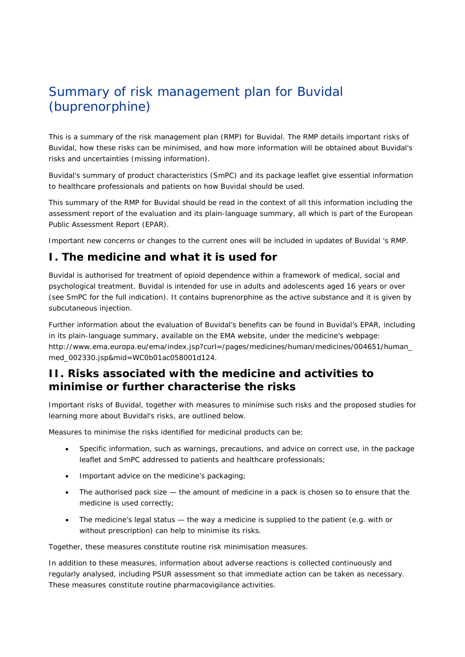# Summary of risk management plan for Buvidal (buprenorphine)

This is a summary of the risk management plan (RMP) for Buvidal. The RMP details important risks of Buvidal, how these risks can be minimised, and how more information will be obtained about Buvidal's risks and uncertainties (missing information).

Buvidal's summary of product characteristics (SmPC) and its package leaflet give essential information to healthcare professionals and patients on how Buvidal should be used.

This summary of the RMP for Buvidal should be read in the context of all this information including the assessment report of the evaluation and its plain-language summary, all which is part of the European Public Assessment Report (EPAR).

Important new concerns or changes to the current ones will be included in updates of Buvidal 's RMP.

# **I. The medicine and what it is used for**

Buvidal is authorised for treatment of opioid dependence within a framework of medical, social and psychological treatment. Buvidal is intended for use in adults and adolescents aged 16 years or over (see SmPC for the full indication). It contains buprenorphine as the active substance and it is given by subcutaneous injection.

Further information about the evaluation of Buvidal's benefits can be found in Buvidal's EPAR, including in its plain-language summary, available on the EMA website, under the medicine's webpage: http://www.ema.europa.eu/ema/index.jsp?curl=/pages/medicines/human/medicines/004651/human\_ med\_002330.jsp&mid=WC0b01ac058001d124.

# **II. Risks associated with the medicine and activities to minimise or further characterise the risks**

Important risks of Buvidal, together with measures to minimise such risks and the proposed studies for learning more about Buvidal's risks, are outlined below.

Measures to minimise the risks identified for medicinal products can be:

- Specific information, such as warnings, precautions, and advice on correct use, in the package leaflet and SmPC addressed to patients and healthcare professionals;
- Important advice on the medicine's packaging;
- The authorised pack size  $-$  the amount of medicine in a pack is chosen so to ensure that the medicine is used correctly;
- The medicine's legal status the way a medicine is supplied to the patient (e.g. with or without prescription) can help to minimise its risks.

Together, these measures constitute *routine risk minimisation* measures.

In addition to these measures, information about adverse reactions is collected continuously and regularly analysed, including PSUR assessment so that immediate action can be taken as necessary. These measures constitute *routine pharmacovigilance activities*.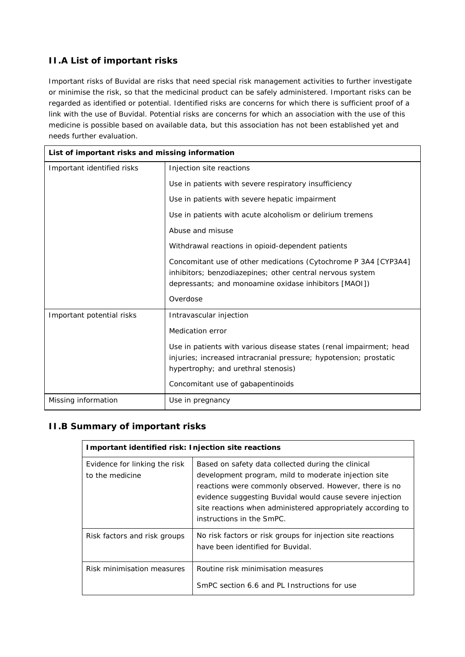# *II.A List of important risks*

Important risks of Buvidal are risks that need special risk management activities to further investigate or minimise the risk, so that the medicinal product can be safely administered. Important risks can be regarded as identified or potential. Identified risks are concerns for which there is sufficient proof of a link with the use of Buvidal. Potential risks are concerns for which an association with the use of this medicine is possible based on available data, but this association has not been established yet and needs further evaluation.

| List of important risks and missing information |                                                                                                                                                                                       |
|-------------------------------------------------|---------------------------------------------------------------------------------------------------------------------------------------------------------------------------------------|
| Important identified risks                      | Injection site reactions                                                                                                                                                              |
|                                                 | Use in patients with severe respiratory insufficiency                                                                                                                                 |
|                                                 | Use in patients with severe hepatic impairment                                                                                                                                        |
|                                                 | Use in patients with acute alcoholism or delirium tremens                                                                                                                             |
|                                                 | Abuse and misuse                                                                                                                                                                      |
|                                                 | Withdrawal reactions in opioid-dependent patients                                                                                                                                     |
|                                                 | Concomitant use of other medications (Cytochrome P 3A4 [CYP3A4]<br>inhibitors; benzodiazepines; other central nervous system<br>depressants; and monoamine oxidase inhibitors [MAOI]) |
|                                                 | Overdose                                                                                                                                                                              |
| Important potential risks                       | Intravascular injection                                                                                                                                                               |
|                                                 | Medication error                                                                                                                                                                      |
|                                                 | Use in patients with various disease states (renal impairment; head<br>injuries; increased intracranial pressure; hypotension; prostatic<br>hypertrophy; and urethral stenosis)       |
|                                                 | Concomitant use of gabapentinoids                                                                                                                                                     |
| Missing information                             | Use in pregnancy                                                                                                                                                                      |

## *II.B Summary of important risks*

| Important identified risk: Injection site reactions |                                                                                                                                                                                                                                                                                                                              |
|-----------------------------------------------------|------------------------------------------------------------------------------------------------------------------------------------------------------------------------------------------------------------------------------------------------------------------------------------------------------------------------------|
| Evidence for linking the risk<br>to the medicine    | Based on safety data collected during the clinical<br>development program, mild to moderate injection site<br>reactions were commonly observed. However, there is no<br>evidence suggesting Buvidal would cause severe injection<br>site reactions when administered appropriately according to<br>instructions in the SmPC. |
| Risk factors and risk groups                        | No risk factors or risk groups for injection site reactions<br>have been identified for Buvidal.                                                                                                                                                                                                                             |
| Risk minimisation measures                          | Routine risk minimisation measures<br>SmPC section 6.6 and PL Instructions for use                                                                                                                                                                                                                                           |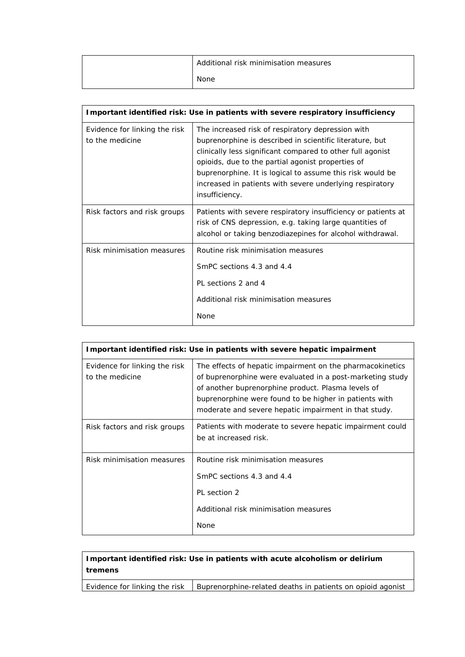| Additional risk minimisation measures |
|---------------------------------------|
| None                                  |

| Important identified risk: Use in patients with severe respiratory insufficiency |                                                                                                                                                                                                                                                                                                                                                                             |
|----------------------------------------------------------------------------------|-----------------------------------------------------------------------------------------------------------------------------------------------------------------------------------------------------------------------------------------------------------------------------------------------------------------------------------------------------------------------------|
| Evidence for linking the risk<br>to the medicine                                 | The increased risk of respiratory depression with<br>buprenorphine is described in scientific literature, but<br>clinically less significant compared to other full agonist<br>opioids, due to the partial agonist properties of<br>buprenorphine. It is logical to assume this risk would be<br>increased in patients with severe underlying respiratory<br>insufficiency. |
| Risk factors and risk groups                                                     | Patients with severe respiratory insufficiency or patients at<br>risk of CNS depression, e.g. taking large quantities of<br>alcohol or taking benzodiazepines for alcohol withdrawal.                                                                                                                                                                                       |
| Risk minimisation measures                                                       | Routine risk minimisation measures<br>SmPC sections 4.3 and 4.4<br>PL sections 2 and 4<br>Additional risk minimisation measures<br>None                                                                                                                                                                                                                                     |

| Important identified risk: Use in patients with severe hepatic impairment |                                                                                                                                                                                                                                                                                                 |
|---------------------------------------------------------------------------|-------------------------------------------------------------------------------------------------------------------------------------------------------------------------------------------------------------------------------------------------------------------------------------------------|
| Evidence for linking the risk<br>to the medicine                          | The effects of hepatic impairment on the pharmacokinetics<br>of buprenorphine were evaluated in a post-marketing study<br>of another buprenorphine product. Plasma levels of<br>buprenorphine were found to be higher in patients with<br>moderate and severe hepatic impairment in that study. |
| Risk factors and risk groups                                              | Patients with moderate to severe hepatic impairment could<br>be at increased risk.                                                                                                                                                                                                              |
| Risk minimisation measures                                                | Routine risk minimisation measures<br>SmPC sections 4.3 and 4.4<br>PL section 2<br>Additional risk minimisation measures<br>None                                                                                                                                                                |

**Important identified risk: Use in patients with acute alcoholism or delirium tremens**

Evidence for linking the risk  $\Box$  Buprenorphine-related deaths in patients on opioid agonist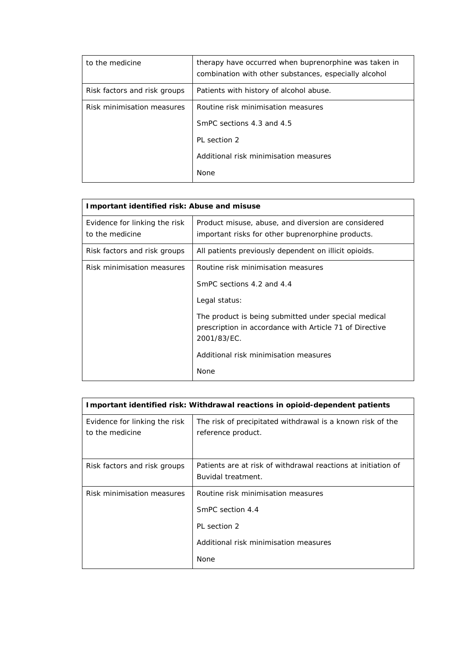| to the medicine              | therapy have occurred when buprenorphine was taken in<br>combination with other substances, especially alcohol |
|------------------------------|----------------------------------------------------------------------------------------------------------------|
| Risk factors and risk groups | Patients with history of alcohol abuse.                                                                        |
| Risk minimisation measures   | Routine risk minimisation measures                                                                             |
|                              | SmPC sections 4.3 and 4.5                                                                                      |
|                              | PI section 2                                                                                                   |
|                              | Additional risk minimisation measures                                                                          |
|                              | None                                                                                                           |

| Important identified risk: Abuse and misuse      |                                                                                                                                |
|--------------------------------------------------|--------------------------------------------------------------------------------------------------------------------------------|
| Evidence for linking the risk<br>to the medicine | Product misuse, abuse, and diversion are considered<br>important risks for other buprenorphine products.                       |
| Risk factors and risk groups                     | All patients previously dependent on illicit opioids.                                                                          |
| Risk minimisation measures                       | Routine risk minimisation measures                                                                                             |
|                                                  | SmPC sections 4.2 and 4.4                                                                                                      |
|                                                  | Legal status:                                                                                                                  |
|                                                  | The product is being submitted under special medical<br>prescription in accordance with Article 71 of Directive<br>2001/83/EC. |
|                                                  | Additional risk minimisation measures                                                                                          |
|                                                  | None                                                                                                                           |

| Important identified risk: Withdrawal reactions in opioid-dependent patients |                                                                                                                         |
|------------------------------------------------------------------------------|-------------------------------------------------------------------------------------------------------------------------|
| Evidence for linking the risk<br>to the medicine                             | The risk of precipitated withdrawal is a known risk of the<br>reference product.                                        |
| Risk factors and risk groups                                                 | Patients are at risk of withdrawal reactions at initiation of<br>Buvidal treatment.                                     |
| Risk minimisation measures                                                   | Routine risk minimisation measures<br>SmPC section 4.4<br>PL section 2<br>Additional risk minimisation measures<br>None |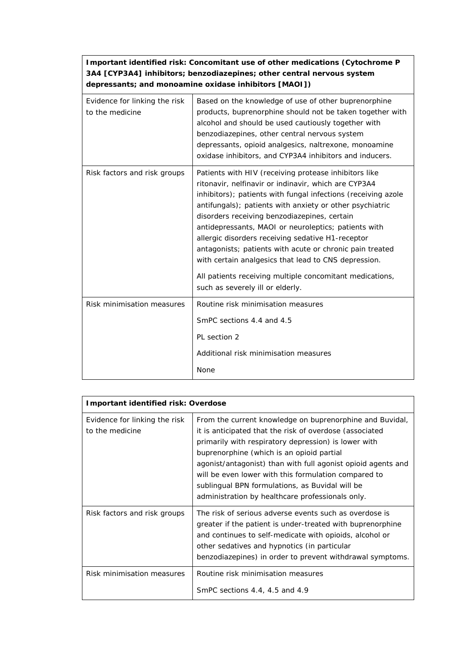#### **Important identified risk: Concomitant use of other medications (Cytochrome P 3A4 [CYP3A4] inhibitors; benzodiazepines; other central nervous system depressants; and monoamine oxidase inhibitors [MAOI])**

| Evidence for linking the risk<br>to the medicine | Based on the knowledge of use of other buprenorphine<br>products, buprenorphine should not be taken together with<br>alcohol and should be used cautiously together with<br>benzodiazepines, other central nervous system<br>depressants, opioid analgesics, naltrexone, monoamine<br>oxidase inhibitors, and CYP3A4 inhibitors and inducers.                                                                                                                                                                                                                                                                               |
|--------------------------------------------------|-----------------------------------------------------------------------------------------------------------------------------------------------------------------------------------------------------------------------------------------------------------------------------------------------------------------------------------------------------------------------------------------------------------------------------------------------------------------------------------------------------------------------------------------------------------------------------------------------------------------------------|
| Risk factors and risk groups                     | Patients with HIV (receiving protease inhibitors like<br>ritonavir, nelfinavir or indinavir, which are CYP3A4<br>inhibitors); patients with fungal infections (receiving azole<br>antifungals); patients with anxiety or other psychiatric<br>disorders receiving benzodiazepines, certain<br>antidepressants, MAOI or neuroleptics; patients with<br>allergic disorders receiving sedative H1-receptor<br>antagonists; patients with acute or chronic pain treated<br>with certain analgesics that lead to CNS depression.<br>All patients receiving multiple concomitant medications,<br>such as severely ill or elderly. |
| Risk minimisation measures                       | Routine risk minimisation measures<br>SmPC sections 4.4 and 4.5<br>PL section 2<br>Additional risk minimisation measures<br>None                                                                                                                                                                                                                                                                                                                                                                                                                                                                                            |

| <b>Important identified risk: Overdose</b>       |                                                                                                                                                                                                                                                                                                                                                                                                                                                         |
|--------------------------------------------------|---------------------------------------------------------------------------------------------------------------------------------------------------------------------------------------------------------------------------------------------------------------------------------------------------------------------------------------------------------------------------------------------------------------------------------------------------------|
| Evidence for linking the risk<br>to the medicine | From the current knowledge on buprenorphine and Buvidal,<br>it is anticipated that the risk of overdose (associated<br>primarily with respiratory depression) is lower with<br>buprenorphine (which is an opioid partial<br>agonist/antagonist) than with full agonist opioid agents and<br>will be even lower with this formulation compared to<br>sublingual BPN formulations, as Buvidal will be<br>administration by healthcare professionals only. |
| Risk factors and risk groups                     | The risk of serious adverse events such as overdose is<br>greater if the patient is under-treated with buprenorphine<br>and continues to self-medicate with opioids, alcohol or<br>other sedatives and hypnotics (in particular<br>benzodiazepines) in order to prevent withdrawal symptoms.                                                                                                                                                            |
| Risk minimisation measures                       | Routine risk minimisation measures<br>SmPC sections 4.4, 4.5 and 4.9                                                                                                                                                                                                                                                                                                                                                                                    |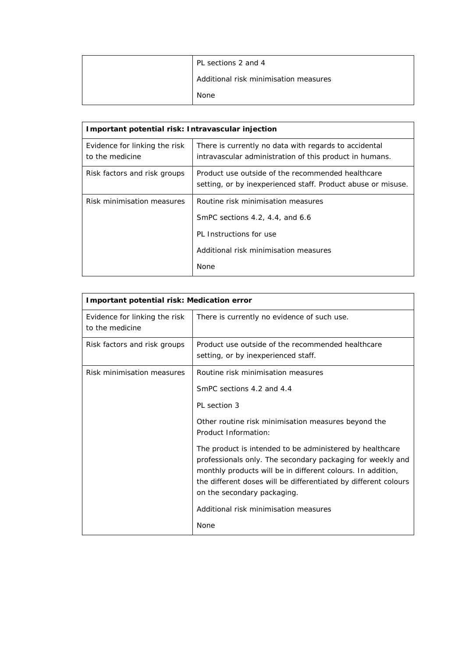| PL sections 2 and 4                   |
|---------------------------------------|
| Additional risk minimisation measures |
| <b>None</b>                           |

| Important potential risk: Intravascular injection |                                                                                                                   |
|---------------------------------------------------|-------------------------------------------------------------------------------------------------------------------|
| Evidence for linking the risk<br>to the medicine  | There is currently no data with regards to accidental<br>intravascular administration of this product in humans.  |
| Risk factors and risk groups                      | Product use outside of the recommended healthcare<br>setting, or by inexperienced staff. Product abuse or misuse. |
| Risk minimisation measures                        | Routine risk minimisation measures                                                                                |
|                                                   | SmPC sections $4.2$ , $4.4$ , and $6.6$                                                                           |
|                                                   | PL Instructions for use                                                                                           |
|                                                   | Additional risk minimisation measures                                                                             |
|                                                   | None                                                                                                              |

| Important potential risk: Medication error       |                                                                                                                                                                                                                                                                                         |  |
|--------------------------------------------------|-----------------------------------------------------------------------------------------------------------------------------------------------------------------------------------------------------------------------------------------------------------------------------------------|--|
| Evidence for linking the risk<br>to the medicine | There is currently no evidence of such use.                                                                                                                                                                                                                                             |  |
| Risk factors and risk groups                     | Product use outside of the recommended healthcare<br>setting, or by inexperienced staff.                                                                                                                                                                                                |  |
| Risk minimisation measures                       | Routine risk minimisation measures                                                                                                                                                                                                                                                      |  |
|                                                  | SmPC sections 4.2 and 4.4                                                                                                                                                                                                                                                               |  |
|                                                  | PL section 3                                                                                                                                                                                                                                                                            |  |
|                                                  | Other routine risk minimisation measures beyond the<br>Product Information:                                                                                                                                                                                                             |  |
|                                                  | The product is intended to be administered by healthcare<br>professionals only. The secondary packaging for weekly and<br>monthly products will be in different colours. In addition,<br>the different doses will be differentiated by different colours<br>on the secondary packaging. |  |
|                                                  | Additional risk minimisation measures                                                                                                                                                                                                                                                   |  |
|                                                  | None                                                                                                                                                                                                                                                                                    |  |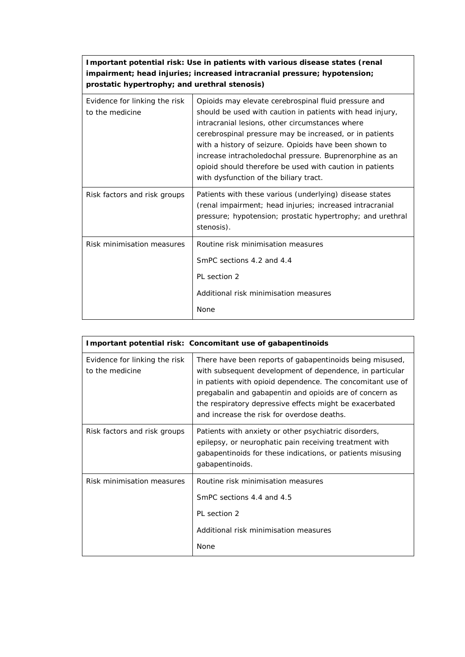#### **Important potential risk: Use in patients with various disease states (renal impairment; head injuries; increased intracranial pressure; hypotension; prostatic hypertrophy; and urethral stenosis)**

| Evidence for linking the risk<br>to the medicine | Opioids may elevate cerebrospinal fluid pressure and<br>should be used with caution in patients with head injury,<br>intracranial lesions, other circumstances where<br>cerebrospinal pressure may be increased, or in patients<br>with a history of seizure. Opioids have been shown to<br>increase intracholedochal pressure. Buprenorphine as an<br>opioid should therefore be used with caution in patients<br>with dysfunction of the biliary tract. |
|--------------------------------------------------|-----------------------------------------------------------------------------------------------------------------------------------------------------------------------------------------------------------------------------------------------------------------------------------------------------------------------------------------------------------------------------------------------------------------------------------------------------------|
| Risk factors and risk groups                     | Patients with these various (underlying) disease states<br>(renal impairment; head injuries; increased intracranial<br>pressure; hypotension; prostatic hypertrophy; and urethral<br>stenosis).                                                                                                                                                                                                                                                           |
| Risk minimisation measures                       | Routine risk minimisation measures<br>SmPC sections 4.2 and 4.4<br>PL section 2<br>Additional risk minimisation measures<br>None                                                                                                                                                                                                                                                                                                                          |

| Important potential risk: Concomitant use of gabapentinoids |                                                                                                                                                                                                                                                                                                                                                        |  |
|-------------------------------------------------------------|--------------------------------------------------------------------------------------------------------------------------------------------------------------------------------------------------------------------------------------------------------------------------------------------------------------------------------------------------------|--|
| Evidence for linking the risk<br>to the medicine            | There have been reports of gabapentinoids being misused,<br>with subsequent development of dependence, in particular<br>in patients with opioid dependence. The concomitant use of<br>pregabalin and gabapentin and opioids are of concern as<br>the respiratory depressive effects might be exacerbated<br>and increase the risk for overdose deaths. |  |
| Risk factors and risk groups                                | Patients with anxiety or other psychiatric disorders,<br>epilepsy, or neurophatic pain receiving treatment with<br>gabapentinoids for these indications, or patients misusing<br>gabapentinoids.                                                                                                                                                       |  |
| Risk minimisation measures                                  | Routine risk minimisation measures<br>SmPC sections 4.4 and 4.5<br>PI section 2<br>Additional risk minimisation measures<br>None                                                                                                                                                                                                                       |  |